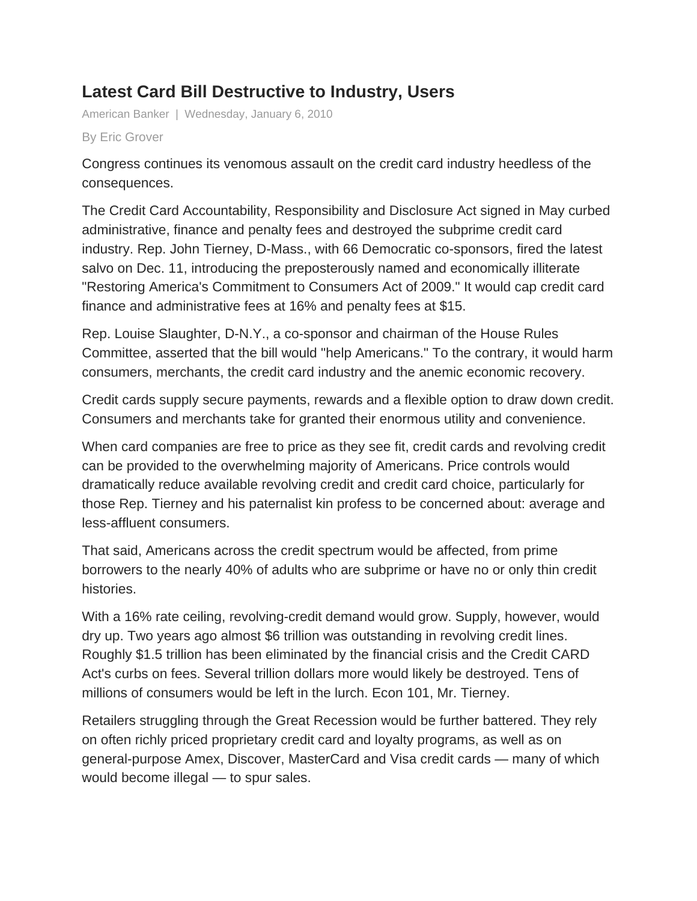## **Latest Card Bill Destructive to Industry, Users**

American Banker | Wednesday, January 6, 2010

By Eric Grover

Congress continues its venomous assault on the credit card industry heedless of the consequences.

The Credit Card Accountability, Responsibility and Disclosure Act signed in May curbed administrative, finance and penalty fees and destroyed the subprime credit card industry. Rep. John Tierney, D-Mass., with 66 Democratic co-sponsors, fired the latest salvo on Dec. 11, introducing the preposterously named and economically illiterate "Restoring America's Commitment to Consumers Act of 2009." It would cap credit card finance and administrative fees at 16% and penalty fees at \$15.

Rep. Louise Slaughter, D-N.Y., a co-sponsor and chairman of the House Rules Committee, asserted that the bill would "help Americans." To the contrary, it would harm consumers, merchants, the credit card industry and the anemic economic recovery.

Credit cards supply secure payments, rewards and a flexible option to draw down credit. Consumers and merchants take for granted their enormous utility and convenience.

When card companies are free to price as they see fit, credit cards and revolving credit can be provided to the overwhelming majority of Americans. Price controls would dramatically reduce available revolving credit and credit card choice, particularly for those Rep. Tierney and his paternalist kin profess to be concerned about: average and less-affluent consumers.

That said, Americans across the credit spectrum would be affected, from prime borrowers to the nearly 40% of adults who are subprime or have no or only thin credit histories.

With a 16% rate ceiling, revolving-credit demand would grow. Supply, however, would dry up. Two years ago almost \$6 trillion was outstanding in revolving credit lines. Roughly \$1.5 trillion has been eliminated by the financial crisis and the Credit CARD Act's curbs on fees. Several trillion dollars more would likely be destroyed. Tens of millions of consumers would be left in the lurch. Econ 101, Mr. Tierney.

Retailers struggling through the Great Recession would be further battered. They rely on often richly priced proprietary credit card and loyalty programs, as well as on general-purpose Amex, Discover, MasterCard and Visa credit cards — many of which would become illegal — to spur sales.